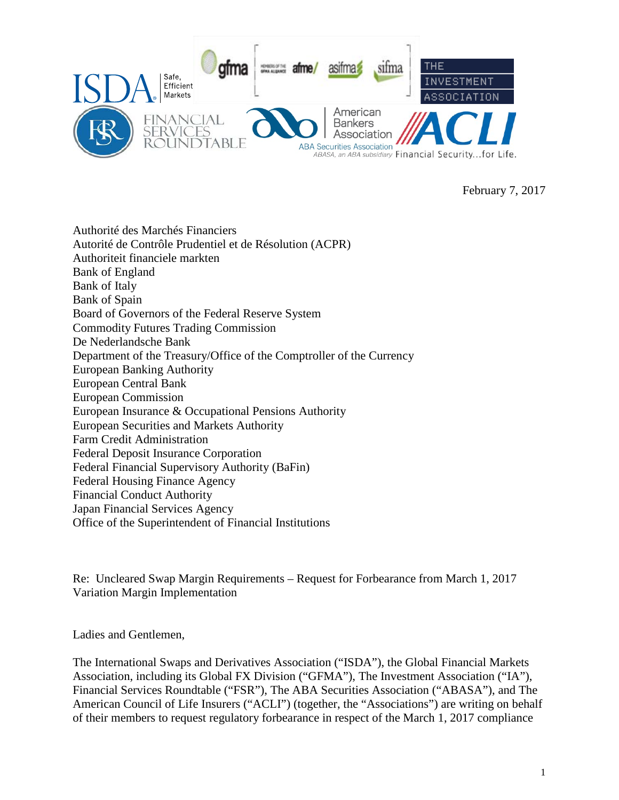

February 7, 2017

Authorité des Marchés Financiers [Autorité de Contrôle Prudentiel et de Résolution](http://www.acpr.banque-france.fr/accueil.html) (ACPR) [Authoriteit financiele markten](http://www.afm.nl/en/consumer.aspx) Bank of England Bank of Italy Bank of Spain Board of Governors of the Federal Reserve System Commodity Futures Trading Commission [De Nederlandsche Bank](http://www.dnb.nl/en/home/index.jsp) Department of the Treasury/Office of the Comptroller of the Currency European Banking Authority European Central Bank European Commission European Insurance & Occupational Pensions Authority European Securities and Markets Authority Farm Credit Administration Federal Deposit Insurance Corporation Federal Financial Supervisory Authority (BaFin) Federal Housing Finance Agency Financial Conduct Authority Japan Financial Services Agency Office of the Superintendent of Financial Institutions

Re: Uncleared Swap Margin Requirements – Request for Forbearance from March 1, 2017 Variation Margin Implementation

Ladies and Gentlemen,

The International Swaps and Derivatives Association ("ISDA"), the Global Financial Markets Association, including its Global FX Division ("GFMA"), The Investment Association ("IA"), Financial Services Roundtable ("FSR"), The ABA Securities Association ("ABASA"), and The American Council of Life Insurers ("ACLI") (together, the "Associations") are writing on behalf of their members to request regulatory forbearance in respect of the March 1, 2017 compliance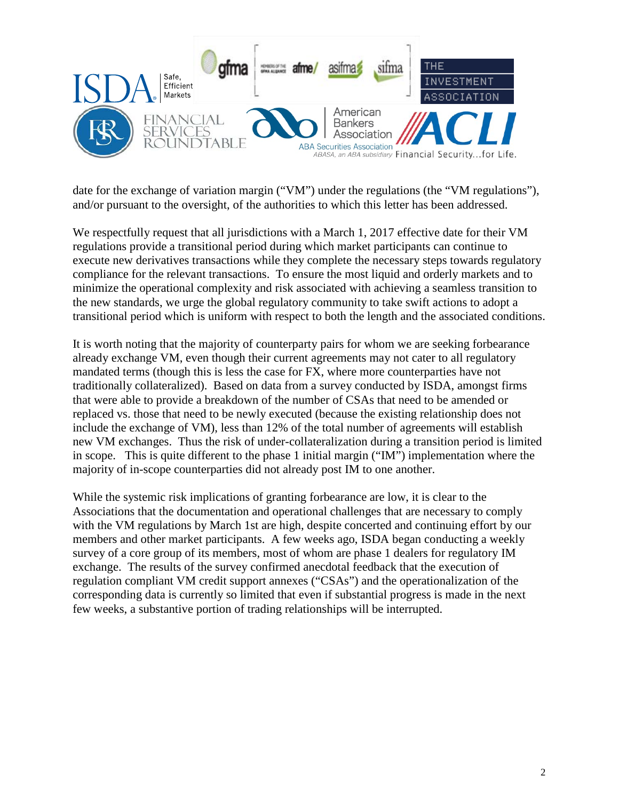

date for the exchange of variation margin ("VM") under the regulations (the "VM regulations"), and/or pursuant to the oversight, of the authorities to which this letter has been addressed.

We respectfully request that all jurisdictions with a March 1, 2017 effective date for their VM regulations provide a transitional period during which market participants can continue to execute new derivatives transactions while they complete the necessary steps towards regulatory compliance for the relevant transactions. To ensure the most liquid and orderly markets and to minimize the operational complexity and risk associated with achieving a seamless transition to the new standards, we urge the global regulatory community to take swift actions to adopt a transitional period which is uniform with respect to both the length and the associated conditions.

It is worth noting that the majority of counterparty pairs for whom we are seeking forbearance already exchange VM, even though their current agreements may not cater to all regulatory mandated terms (though this is less the case for FX, where more counterparties have not traditionally collateralized). Based on data from a survey conducted by ISDA, amongst firms that were able to provide a breakdown of the number of CSAs that need to be amended or replaced vs. those that need to be newly executed (because the existing relationship does not include the exchange of VM), less than 12% of the total number of agreements will establish new VM exchanges. Thus the risk of under-collateralization during a transition period is limited in scope. This is quite different to the phase 1 initial margin ("IM") implementation where the majority of in-scope counterparties did not already post IM to one another.

While the systemic risk implications of granting forbearance are low, it is clear to the Associations that the documentation and operational challenges that are necessary to comply with the VM regulations by March 1st are high, despite concerted and continuing effort by our members and other market participants. A few weeks ago, ISDA began conducting a weekly survey of a core group of its members, most of whom are phase 1 dealers for regulatory IM exchange. The results of the survey confirmed anecdotal feedback that the execution of regulation compliant VM credit support annexes ("CSAs") and the operationalization of the corresponding data is currently so limited that even if substantial progress is made in the next few weeks, a substantive portion of trading relationships will be interrupted.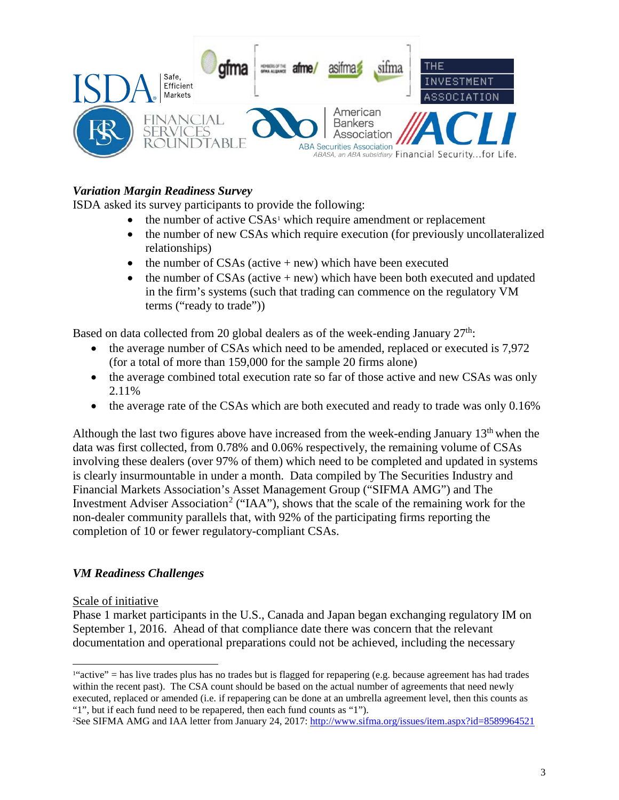

# *Variation Margin Readiness Survey*

ISDA asked its survey participants to provide the following:

- $\bullet$  the number of active CSAs<sup>[1](#page-2-0)</sup> which require amendment or replacement
- the number of new CSAs which require execution (for previously uncollateralized relationships)
- the number of CSAs (active  $+$  new) which have been executed
- the number of  $CSAs$  (active  $+$  new) which have been both executed and updated in the firm's systems (such that trading can commence on the regulatory VM terms ("ready to trade"))

Based on data collected from 20 global dealers as of the week-ending January  $27<sup>th</sup>$ :

- the average number of CSAs which need to be amended, replaced or executed is 7,972 (for a total of more than 159,000 for the sample 20 firms alone)
- the average combined total execution rate so far of those active and new CSAs was only 2.11%
- the average rate of the CSAs which are both executed and ready to trade was only 0.16%

Although the last two figures above have increased from the week-ending January  $13<sup>th</sup>$  when the data was first collected, from 0.78% and 0.06% respectively, the remaining volume of CSAs involving these dealers (over 97% of them) which need to be completed and updated in systems is clearly insurmountable in under a month. Data compiled by The Securities Industry and Financial Markets Association's Asset Management Group ("SIFMA AMG") and The Investment Adviser Association<sup>[2](#page-2-1)</sup> ("IAA"), shows that the scale of the remaining work for the non-dealer community parallels that, with 92% of the participating firms reporting the completion of 10 or fewer regulatory-compliant CSAs.

## *VM Readiness Challenges*

#### Scale of initiative

 $\overline{a}$ 

Phase 1 market participants in the U.S., Canada and Japan began exchanging regulatory IM on September 1, 2016. Ahead of that compliance date there was concern that the relevant documentation and operational preparations could not be achieved, including the necessary

<span id="page-2-0"></span> $1''$ active" = has live trades plus has no trades but is flagged for repapering (e.g. because agreement has had trades within the recent past). The CSA count should be based on the actual number of agreements that need newly executed, replaced or amended (i.e. if repapering can be done at an umbrella agreement level, then this counts as "1", but if each fund need to be repapered, then each fund counts as "1").

<span id="page-2-1"></span><sup>&</sup>lt;sup>2</sup>See SIFMA AMG and IAA letter from January 24, 2017: http://www.sifma.org/issues/item.aspx?id=8589964521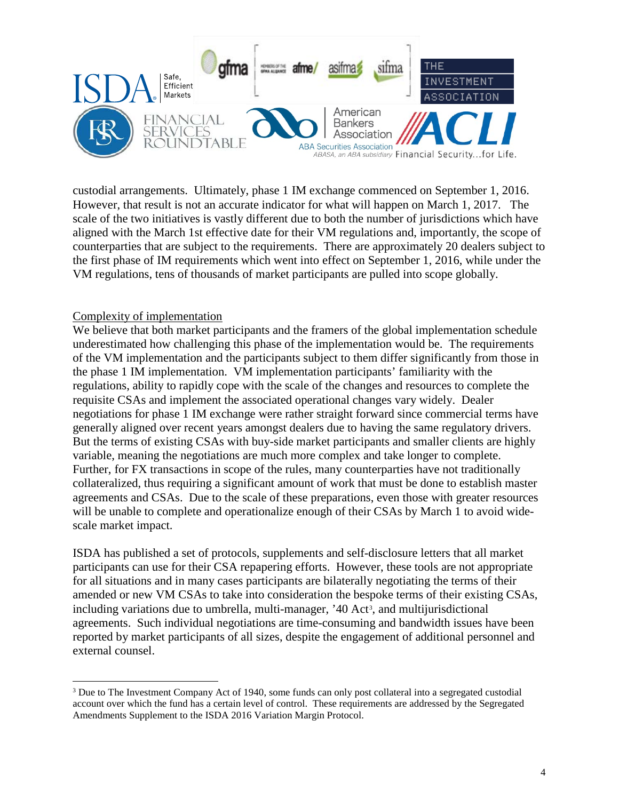

custodial arrangements. Ultimately, phase 1 IM exchange commenced on September 1, 2016. However, that result is not an accurate indicator for what will happen on March 1, 2017. The scale of the two initiatives is vastly different due to both the number of jurisdictions which have aligned with the March 1st effective date for their VM regulations and, importantly, the scope of counterparties that are subject to the requirements. There are approximately 20 dealers subject to the first phase of IM requirements which went into effect on September 1, 2016, while under the VM regulations, tens of thousands of market participants are pulled into scope globally.

#### Complexity of implementation

 $\overline{a}$ 

We believe that both market participants and the framers of the global implementation schedule underestimated how challenging this phase of the implementation would be. The requirements of the VM implementation and the participants subject to them differ significantly from those in the phase 1 IM implementation. VM implementation participants' familiarity with the regulations, ability to rapidly cope with the scale of the changes and resources to complete the requisite CSAs and implement the associated operational changes vary widely. Dealer negotiations for phase 1 IM exchange were rather straight forward since commercial terms have generally aligned over recent years amongst dealers due to having the same regulatory drivers. But the terms of existing CSAs with buy-side market participants and smaller clients are highly variable, meaning the negotiations are much more complex and take longer to complete. Further, for FX transactions in scope of the rules, many counterparties have not traditionally collateralized, thus requiring a significant amount of work that must be done to establish master agreements and CSAs. Due to the scale of these preparations, even those with greater resources will be unable to complete and operationalize enough of their CSAs by March 1 to avoid widescale market impact.

ISDA has published a set of protocols, supplements and self-disclosure letters that all market participants can use for their CSA repapering efforts. However, these tools are not appropriate for all situations and in many cases participants are bilaterally negotiating the terms of their amended or new VM CSAs to take into consideration the bespoke terms of their existing CSAs, including variations due to umbrella, multi-manager, '40 Act<sup>[3](#page-3-0)</sup>, and multijurisdictional agreements. Such individual negotiations are time-consuming and bandwidth issues have been reported by market participants of all sizes, despite the engagement of additional personnel and external counsel.

<span id="page-3-0"></span><sup>&</sup>lt;sup>3</sup> Due to The Investment Company Act of 1940, some funds can only post collateral into a segregated custodial account over which the fund has a certain level of control. These requirements are addressed by the Segregated Amendments Supplement to the ISDA 2016 Variation Margin Protocol.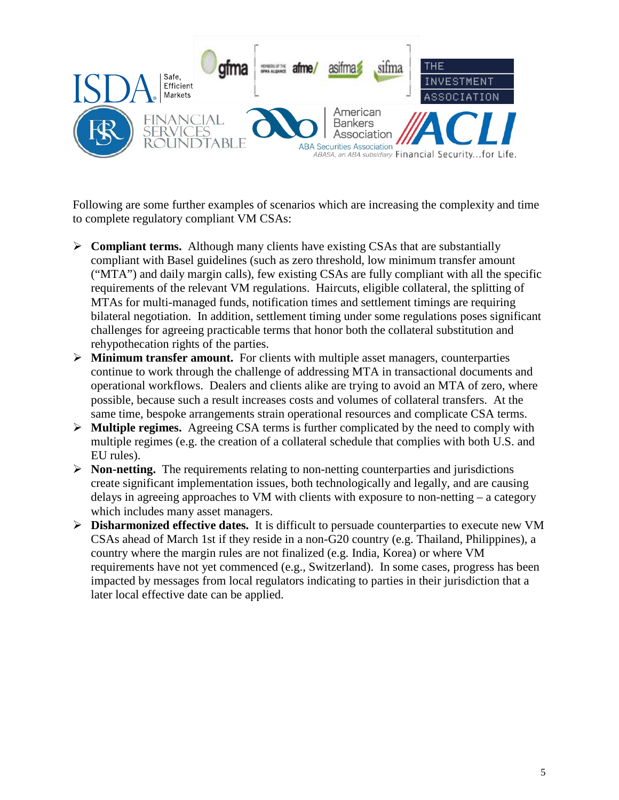

Following are some further examples of scenarios which are increasing the complexity and time to complete regulatory compliant VM CSAs:

- $\triangleright$  **Compliant terms.** Although many clients have existing CSAs that are substantially compliant with Basel guidelines (such as zero threshold, low minimum transfer amount ("MTA") and daily margin calls), few existing CSAs are fully compliant with all the specific requirements of the relevant VM regulations. Haircuts, eligible collateral, the splitting of MTAs for multi-managed funds, notification times and settlement timings are requiring bilateral negotiation. In addition, settlement timing under some regulations poses significant challenges for agreeing practicable terms that honor both the collateral substitution and rehypothecation rights of the parties.
- **Minimum transfer amount.** For clients with multiple asset managers, counterparties continue to work through the challenge of addressing MTA in transactional documents and operational workflows. Dealers and clients alike are trying to avoid an MTA of zero, where possible, because such a result increases costs and volumes of collateral transfers. At the same time, bespoke arrangements strain operational resources and complicate CSA terms.
- **Multiple regimes.** Agreeing CSA terms is further complicated by the need to comply with multiple regimes (e.g. the creation of a collateral schedule that complies with both U.S. and EU rules).
- $\triangleright$  **Non-netting.** The requirements relating to non-netting counterparties and jurisdictions create significant implementation issues, both technologically and legally, and are causing delays in agreeing approaches to VM with clients with exposure to non-netting – a category which includes many asset managers.
- **Disharmonized effective dates.** It is difficult to persuade counterparties to execute new VM CSAs ahead of March 1st if they reside in a non-G20 country (e.g. Thailand, Philippines), a country where the margin rules are not finalized (e.g. India, Korea) or where VM requirements have not yet commenced (e.g., Switzerland). In some cases, progress has been impacted by messages from local regulators indicating to parties in their jurisdiction that a later local effective date can be applied.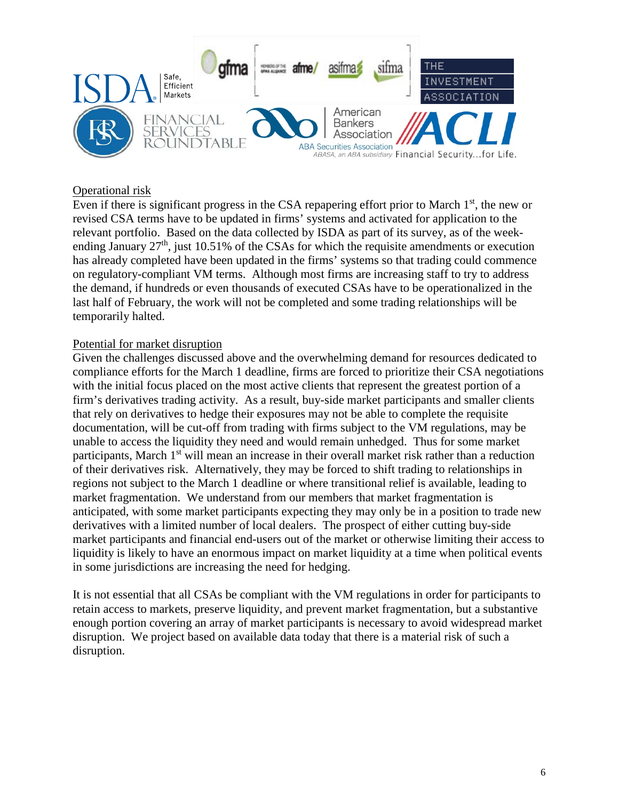

#### Operational risk

Even if there is significant progress in the CSA repapering effort prior to March  $1<sup>st</sup>$ , the new or revised CSA terms have to be updated in firms' systems and activated for application to the relevant portfolio. Based on the data collected by ISDA as part of its survey, as of the weekending January  $27<sup>th</sup>$ , just 10.51% of the CSAs for which the requisite amendments or execution has already completed have been updated in the firms' systems so that trading could commence on regulatory-compliant VM terms. Although most firms are increasing staff to try to address the demand, if hundreds or even thousands of executed CSAs have to be operationalized in the last half of February, the work will not be completed and some trading relationships will be temporarily halted.

#### Potential for market disruption

Given the challenges discussed above and the overwhelming demand for resources dedicated to compliance efforts for the March 1 deadline, firms are forced to prioritize their CSA negotiations with the initial focus placed on the most active clients that represent the greatest portion of a firm's derivatives trading activity. As a result, buy-side market participants and smaller clients that rely on derivatives to hedge their exposures may not be able to complete the requisite documentation, will be cut-off from trading with firms subject to the VM regulations, may be unable to access the liquidity they need and would remain unhedged. Thus for some market participants, March 1<sup>st</sup> will mean an increase in their overall market risk rather than a reduction of their derivatives risk. Alternatively, they may be forced to shift trading to relationships in regions not subject to the March 1 deadline or where transitional relief is available, leading to market fragmentation. We understand from our members that market fragmentation is anticipated, with some market participants expecting they may only be in a position to trade new derivatives with a limited number of local dealers. The prospect of either cutting buy-side market participants and financial end-users out of the market or otherwise limiting their access to liquidity is likely to have an enormous impact on market liquidity at a time when political events in some jurisdictions are increasing the need for hedging.

It is not essential that all CSAs be compliant with the VM regulations in order for participants to retain access to markets, preserve liquidity, and prevent market fragmentation, but a substantive enough portion covering an array of market participants is necessary to avoid widespread market disruption. We project based on available data today that there is a material risk of such a disruption.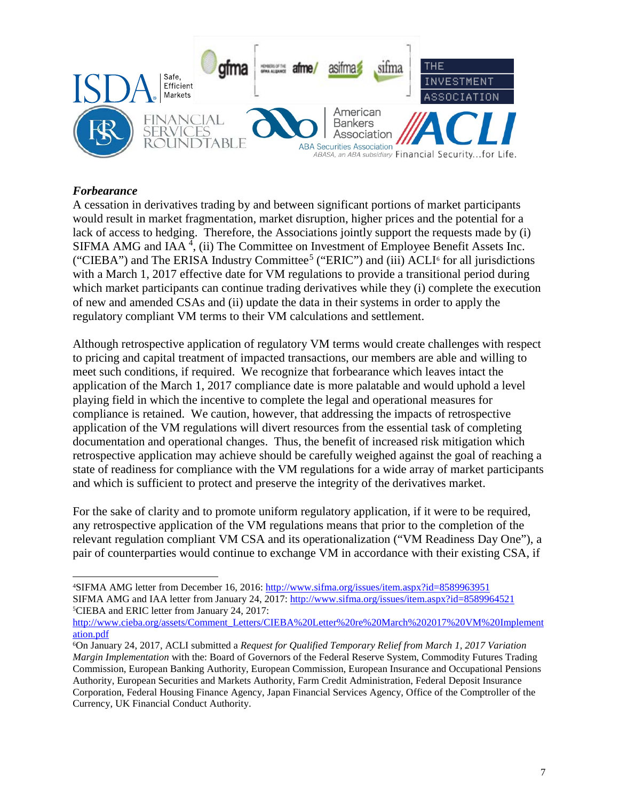

#### *Forbearance*

A cessation in derivatives trading by and between significant portions of market participants would result in market fragmentation, market disruption, higher prices and the potential for a lack of access to hedging. Therefore, the Associations jointly support the requests made by (i) SIFMA AMG and IAA<sup>[4](#page-6-0)</sup>, (ii) The Committee on Investment of Employee Benefit Assets Inc. ("CIEBA") and The ERISA Industry Committee<sup>[5](#page-6-1)</sup> ("ERIC") and (iii) ACLI<sup>[6](#page-6-2)</sup> for all jurisdictions with a March 1, 2017 effective date for VM regulations to provide a transitional period during which market participants can continue trading derivatives while they (i) complete the execution of new and amended CSAs and (ii) update the data in their systems in order to apply the regulatory compliant VM terms to their VM calculations and settlement.

Although retrospective application of regulatory VM terms would create challenges with respect to pricing and capital treatment of impacted transactions, our members are able and willing to meet such conditions, if required. We recognize that forbearance which leaves intact the application of the March 1, 2017 compliance date is more palatable and would uphold a level playing field in which the incentive to complete the legal and operational measures for compliance is retained. We caution, however, that addressing the impacts of retrospective application of the VM regulations will divert resources from the essential task of completing documentation and operational changes. Thus, the benefit of increased risk mitigation which retrospective application may achieve should be carefully weighed against the goal of reaching a state of readiness for compliance with the VM regulations for a wide array of market participants and which is sufficient to protect and preserve the integrity of the derivatives market.

For the sake of clarity and to promote uniform regulatory application, if it were to be required, any retrospective application of the VM regulations means that prior to the completion of the relevant regulation compliant VM CSA and its operationalization ("VM Readiness Day One"), a pair of counterparties would continue to exchange VM in accordance with their existing CSA, if

<span id="page-6-1"></span>[http://www.cieba.org/assets/Comment\\_Letters/CIEBA%20Letter%20re%20March%202017%20VM%20Implement](http://www.cieba.org/assets/Comment_Letters/CIEBA%20Letter%20re%20March%202017%20VM%20Implementation.pdf) [ation.pdf](http://www.cieba.org/assets/Comment_Letters/CIEBA%20Letter%20re%20March%202017%20VM%20Implementation.pdf)

<span id="page-6-0"></span> $\overline{a}$ 4SIFMA AMG letter from December 16, 2016[: http://www.sifma.org/issues/item.aspx?id=8589963951](http://www.sifma.org/issues/item.aspx?id=8589963951) SIFMA AMG and IAA letter from January 24, 2017:<http://www.sifma.org/issues/item.aspx?id=8589964521> 5CIEBA and ERIC letter from January 24, 2017:

<span id="page-6-2"></span><sup>6</sup>On January 24, 2017, ACLI submitted a *Request for Qualified Temporary Relief from March 1, 2017 Variation Margin Implementation* with the: Board of Governors of the Federal Reserve System, Commodity Futures Trading Commission, European Banking Authority, European Commission, European Insurance and Occupational Pensions Authority, European Securities and Markets Authority, Farm Credit Administration, Federal Deposit Insurance Corporation, Federal Housing Finance Agency, Japan Financial Services Agency, Office of the Comptroller of the Currency, UK Financial Conduct Authority.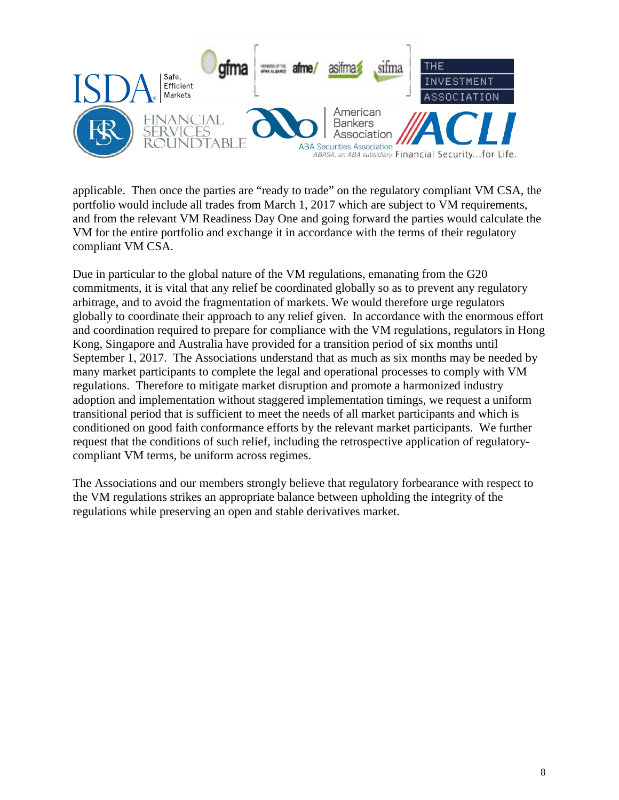

applicable. Then once the parties are "ready to trade" on the regulatory compliant VM CSA, the portfolio would include all trades from March 1, 2017 which are subject to VM requirements, and from the relevant VM Readiness Day One and going forward the parties would calculate the VM for the entire portfolio and exchange it in accordance with the terms of their regulatory compliant VM CSA.

Due in particular to the global nature of the VM regulations, emanating from the G20 commitments, it is vital that any relief be coordinated globally so as to prevent any regulatory arbitrage, and to avoid the fragmentation of markets. We would therefore urge regulators globally to coordinate their approach to any relief given. In accordance with the enormous effort and coordination required to prepare for compliance with the VM regulations, regulators in Hong Kong, Singapore and Australia have provided for a transition period of six months until September 1, 2017. The Associations understand that as much as six months may be needed by many market participants to complete the legal and operational processes to comply with VM regulations. Therefore to mitigate market disruption and promote a harmonized industry adoption and implementation without staggered implementation timings, we request a uniform transitional period that is sufficient to meet the needs of all market participants and which is conditioned on good faith conformance efforts by the relevant market participants. We further request that the conditions of such relief, including the retrospective application of regulatorycompliant VM terms, be uniform across regimes.

The Associations and our members strongly believe that regulatory forbearance with respect to the VM regulations strikes an appropriate balance between upholding the integrity of the regulations while preserving an open and stable derivatives market.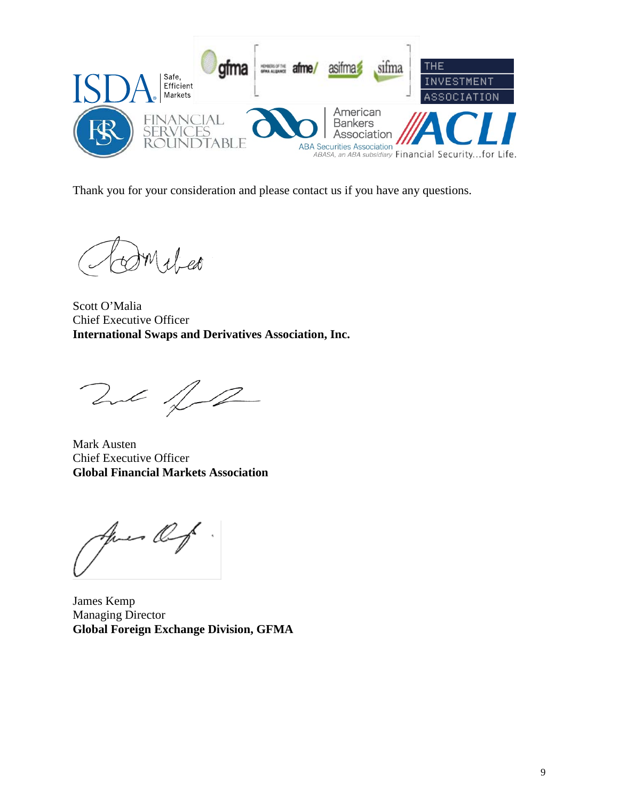

Thank you for your consideration and please contact us if you have any questions.

Milled

Scott O'Malia Chief Executive Officer **International Swaps and Derivatives Association, Inc.**

That for

Mark Austen Chief Executive Officer **Global Financial Markets Association**

- Og

James Kemp Managing Director **Global Foreign Exchange Division, GFMA**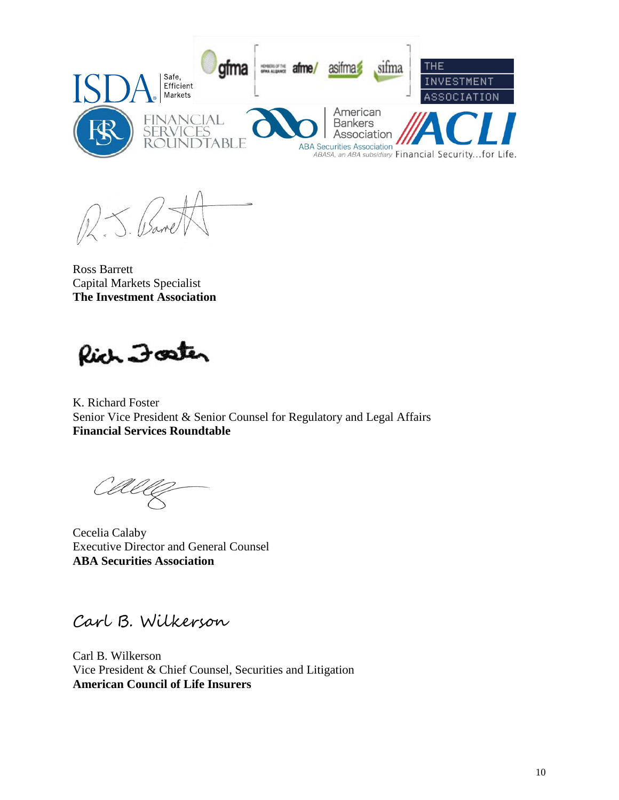

Ross Barrett Capital Markets Specialist **The Investment Association**

Rich Foster

K. Richard Foster Senior Vice President & Senior Counsel for Regulatory and Legal Affairs **Financial Services Roundtable**

Cecelia Calaby Executive Director and General Counsel **ABA Securities Association**

Carl B. Wilkerson

Carl B. Wilkerson Vice President & Chief Counsel, Securities and Litigation **American Council of Life Insurers**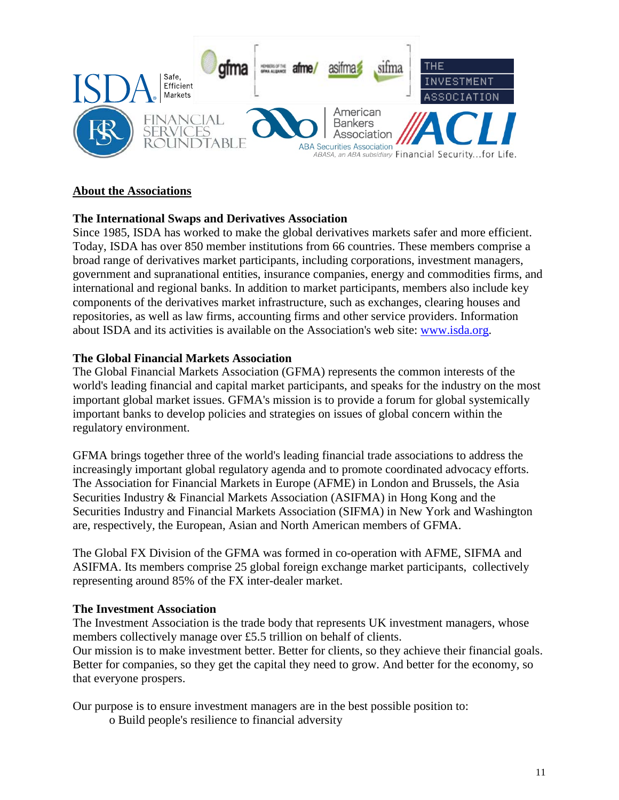

## **About the Associations**

## **The International Swaps and Derivatives Association**

Since 1985, ISDA has worked to make the global derivatives markets safer and more efficient. Today, ISDA has over 850 member institutions from 66 countries. These members comprise a broad range of derivatives market participants, including corporations, investment managers, government and supranational entities, insurance companies, energy and commodities firms, and international and regional banks. In addition to market participants, members also include key components of the derivatives market infrastructure, such as exchanges, clearing houses and repositories, as well as law firms, accounting firms and other service providers. Information about ISDA and its activities is available on the Association's web site: [www.isda.org.](http://www.isda.org/)

## **The Global Financial Markets Association**

The Global Financial Markets Association (GFMA) represents the common interests of the world's leading financial and capital market participants, and speaks for the industry on the most important global market issues. GFMA's mission is to provide a forum for global systemically important banks to develop policies and strategies on issues of global concern within the regulatory environment.

GFMA brings together three of the world's leading financial trade associations to address the increasingly important global regulatory agenda and to promote coordinated advocacy efforts. The Association for Financial Markets in Europe (AFME) in London and Brussels, the Asia Securities Industry & Financial Markets Association (ASIFMA) in Hong Kong and the Securities Industry and Financial Markets Association (SIFMA) in New York and Washington are, respectively, the European, Asian and North American members of GFMA.

The Global FX Division of the GFMA was formed in co-operation with AFME, SIFMA and ASIFMA. Its members comprise 25 global foreign exchange market participants, collectively representing around 85% of the FX inter-dealer market.

## **The Investment Association**

The Investment Association is the trade body that represents UK investment managers, whose members collectively manage over £5.5 trillion on behalf of clients.

Our mission is to make investment better. Better for clients, so they achieve their financial goals. Better for companies, so they get the capital they need to grow. And better for the economy, so that everyone prospers.

Our purpose is to ensure investment managers are in the best possible position to:

o Build people's resilience to financial adversity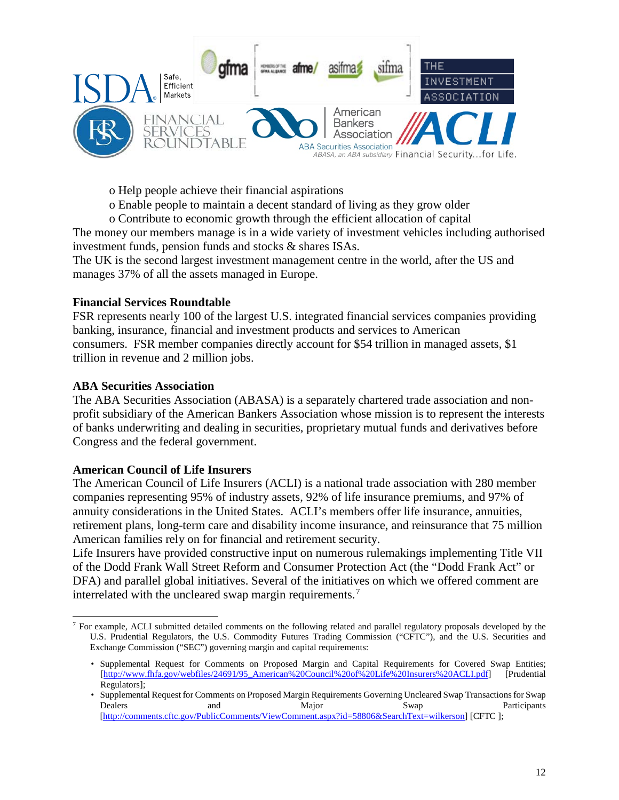

o Help people achieve their financial aspirations

- o Enable people to maintain a decent standard of living as they grow older
- o Contribute to economic growth through the efficient allocation of capital

The money our members manage is in a wide variety of investment vehicles including authorised investment funds, pension funds and stocks & shares ISAs.

The UK is the second largest investment management centre in the world, after the US and manages 37% of all the assets managed in Europe.

## **Financial Services Roundtable**

FSR represents nearly 100 of the largest U.S. integrated financial services companies providing banking, insurance, financial and investment products and services to American consumers. FSR member companies directly account for \$54 trillion in managed assets, \$1 trillion in revenue and 2 million jobs.

#### **ABA Securities Association**

 $\overline{a}$ 

The ABA Securities Association (ABASA) is a separately chartered trade association and nonprofit subsidiary of the American Bankers Association whose mission is to represent the interests of banks underwriting and dealing in securities, proprietary mutual funds and derivatives before Congress and the federal government.

## **American Council of Life Insurers**

The American Council of Life Insurers (ACLI) is a national trade association with 280 member companies representing 95% of industry assets, 92% of life insurance premiums, and 97% of annuity considerations in the United States. ACLI's members offer life insurance, annuities, retirement plans, long-term care and disability income insurance, and reinsurance that 75 million American families rely on for financial and retirement security.

Life Insurers have provided constructive input on numerous rulemakings implementing Title VII of the Dodd Frank Wall Street Reform and Consumer Protection Act (the "Dodd Frank Act" or DFA) and parallel global initiatives. Several of the initiatives on which we offered comment are interrelated with the uncleared swap margin requirements.<sup>[7](#page-11-0)</sup>

<span id="page-11-0"></span> $<sup>7</sup>$  For example, ACLI submitted detailed comments on the following related and parallel regulatory proposals developed by the</sup> U.S. Prudential Regulators, the U.S. Commodity Futures Trading Commission ("CFTC"), and the U.S. Securities and Exchange Commission ("SEC") governing margin and capital requirements:

<sup>•</sup> Supplemental Request for Comments on Proposed Margin and Capital Requirements for Covered Swap Entities; [\[http://www.fhfa.gov/webfiles/24691/95\\_American%20Council%20of%20Life%20Insurers%20ACLI.pdf\]](http://www.fhfa.gov/webfiles/24691/95_American%20Council%20of%20Life%20Insurers%20ACLI.pdf) [Prudential Regulators];

<sup>•</sup> Supplemental Request for Comments on Proposed Margin Requirements Governing Uncleared Swap Transactions for Swap Dealers and and Major Swap Participants [\[http://comments.cftc.gov/PublicComments/ViewComment.aspx?id=58806&SearchText=wilkerson\]](http://comments.cftc.gov/PublicComments/ViewComment.aspx?id=58806&SearchText=wilkerson) [CFTC];